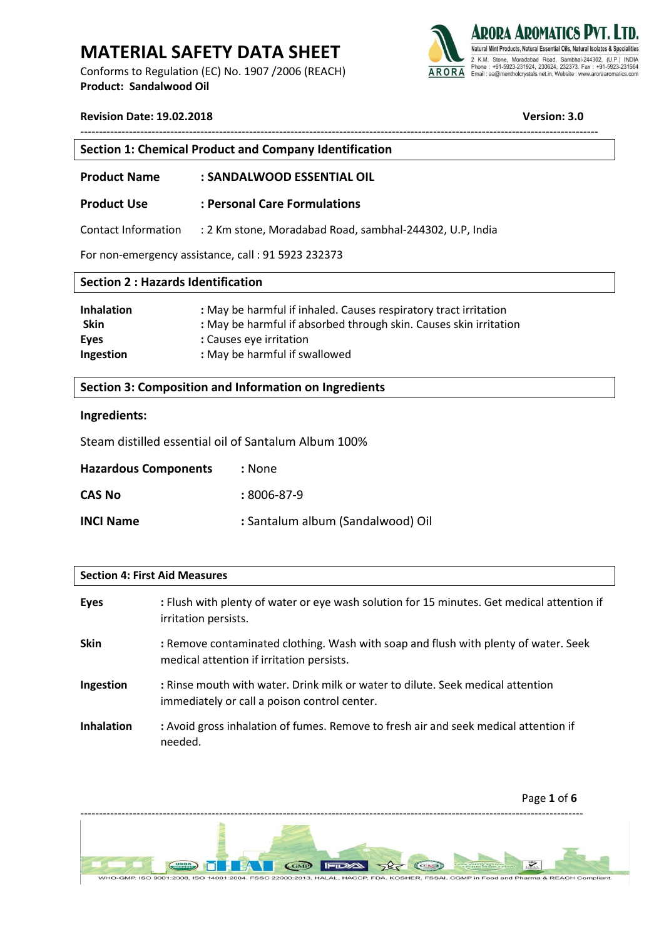Conforms to Regulation (EC) No. 1907 /2006 (REACH) **Product: Sandalwood Oil** 



**Version: 3.0** 

| Section 1: Chemical Product and Company Identification |                                                                              |  |
|--------------------------------------------------------|------------------------------------------------------------------------------|--|
| <b>Product Name</b>                                    | : SANDALWOOD ESSENTIAL OIL                                                   |  |
| <b>Product Use</b>                                     | : Personal Care Formulations                                                 |  |
|                                                        | Contact Information : 2 Km stone, Moradabad Road, sambhal-244302, U.P. India |  |

------------------------------------------------------------------------------------------------------------------------------------------

For non-emergency assistance, call : 91 5923 232373

| <b>Section 2: Hazards Identification</b> |                                                                   |  |
|------------------------------------------|-------------------------------------------------------------------|--|
| <b>Inhalation</b>                        | : May be harmful if inhaled. Causes respiratory tract irritation  |  |
| <b>Skin</b>                              | : May be harmful if absorbed through skin. Causes skin irritation |  |
| Eyes                                     | : Causes eye irritation                                           |  |
| Ingestion                                | : May be harmful if swallowed                                     |  |

**Section 3: Composition and Information on Ingredients**

### **Ingredients:**

Steam distilled essential oil of Santalum Album 100%

| <b>Hazardous Components</b> | :None                             |
|-----------------------------|-----------------------------------|
| <b>CAS No</b>               | $:8006-87-9$                      |
| <b>INCI Name</b>            | : Santalum album (Sandalwood) Oil |

#### **Section 4: First Aid Measures**

| <b>Eyes</b>       | : Flush with plenty of water or eye wash solution for 15 minutes. Get medical attention if<br>irritation persists.               |
|-------------------|----------------------------------------------------------------------------------------------------------------------------------|
| <b>Skin</b>       | : Remove contaminated clothing. Wash with soap and flush with plenty of water. Seek<br>medical attention if irritation persists. |
| Ingestion         | : Rinse mouth with water. Drink milk or water to dilute. Seek medical attention<br>immediately or call a poison control center.  |
| <b>Inhalation</b> | : Avoid gross inhalation of fumes. Remove to fresh air and seek medical attention if<br>needed.                                  |

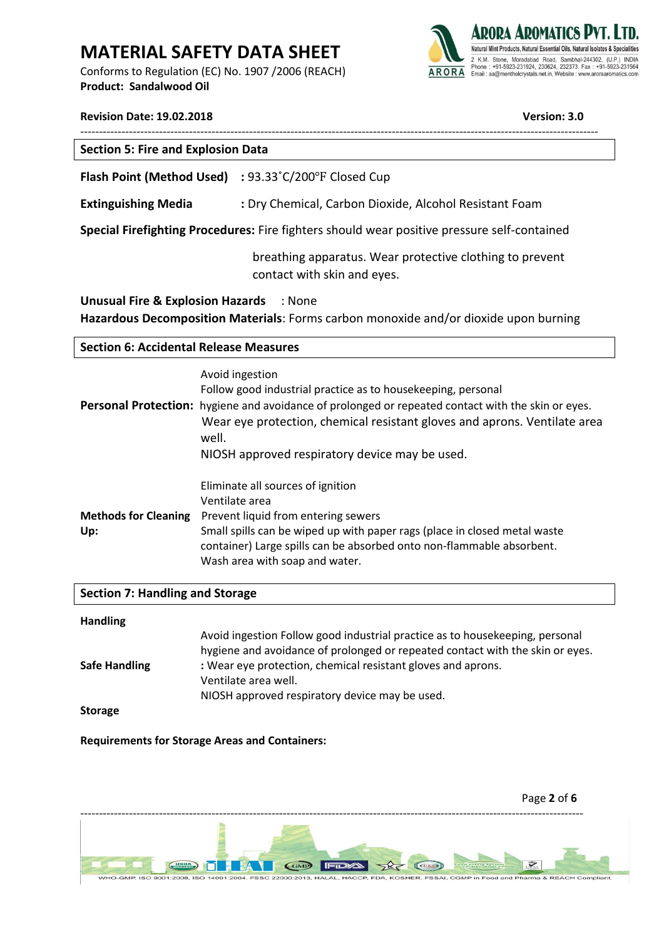Conforms to Regulation (EC) No. 1907 /2006 (REACH) **Product: Sandalwood Oil** 



## **Revision Date: 19.02.2018 Version: 3.0**

| <b>Section 5: Fire and Explosion Data</b>                   |  |  |
|-------------------------------------------------------------|--|--|
| <b>Flash Point (Method Used)</b> : 93.33°C/200°F Closed Cup |  |  |

**Extinguishing Media** : Dry Chemical, Carbon Dioxide, Alcohol Resistant Foam

**Special Firefighting Procedures:** Fire fighters should wear positive pressure self-contained

breathing apparatus. Wear protective clothing to prevent contact with skin and eyes.

**Unusual Fire & Explosion Hazards** : None **Hazardous Decomposition Materials**: Forms carbon monoxide and/or dioxide upon burning

### **Section 6: Accidental Release Measures**

|                                    | Avoid ingestion<br>Follow good industrial practice as to housekeeping, personal<br>Personal Protection: hygiene and avoidance of prolonged or repeated contact with the skin or eyes.<br>Wear eye protection, chemical resistant gloves and aprons. Ventilate area<br>well.<br>NIOSH approved respiratory device may be used. |
|------------------------------------|-------------------------------------------------------------------------------------------------------------------------------------------------------------------------------------------------------------------------------------------------------------------------------------------------------------------------------|
| <b>Methods for Cleaning</b><br>Up: | Eliminate all sources of ignition<br>Ventilate area<br>Prevent liquid from entering sewers<br>Small spills can be wiped up with paper rags (place in closed metal waste<br>container) Large spills can be absorbed onto non-flammable absorbent.<br>Wash area with soap and water.                                            |

### **Section 7: Handling and Storage**

| <b>Handling</b>      |                                                                                                                                                               |
|----------------------|---------------------------------------------------------------------------------------------------------------------------------------------------------------|
|                      | Avoid ingestion Follow good industrial practice as to housekeeping, personal<br>hygiene and avoidance of prolonged or repeated contact with the skin or eyes. |
| <b>Safe Handling</b> | : Wear eye protection, chemical resistant gloves and aprons.                                                                                                  |
|                      | Ventilate area well.                                                                                                                                          |
|                      | NIOSH approved respiratory device may be used.                                                                                                                |
| $C+$                 |                                                                                                                                                               |

**Storage**

**Requirements for Storage Areas and Containers:** 

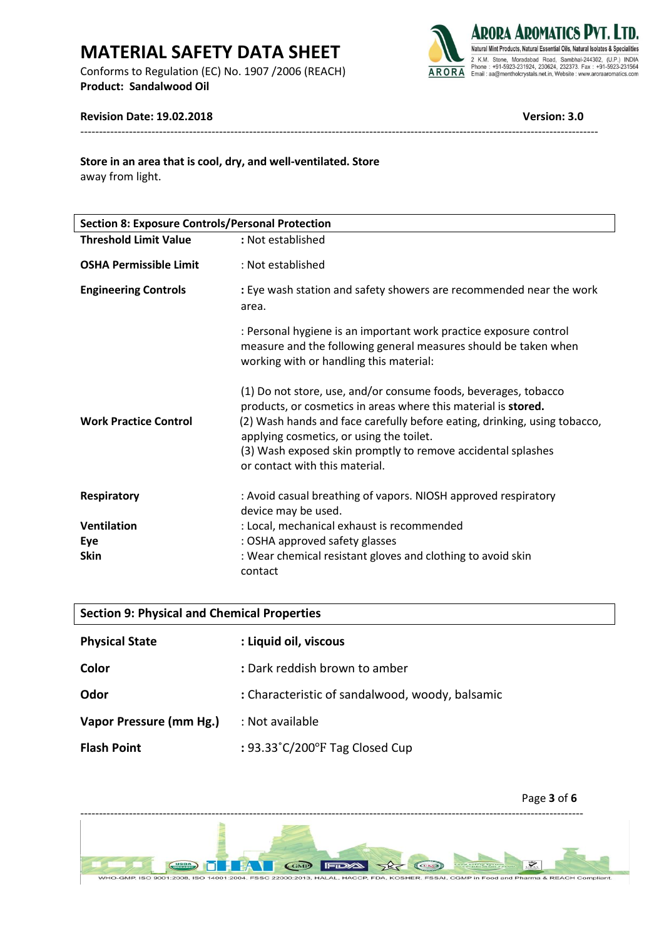Conforms to Regulation (EC) No. 1907 /2006 (REACH) **Product: Sandalwood Oil** 



## **Revision Date: 19.02.2018 Version: 3.0**

away from light. **Store in an area that is cool, dry, and well-ventilated. Store**

| <b>Section 8: Exposure Controls/Personal Protection</b> |                                                                                                                                                                                                                                                                                                                                                              |  |
|---------------------------------------------------------|--------------------------------------------------------------------------------------------------------------------------------------------------------------------------------------------------------------------------------------------------------------------------------------------------------------------------------------------------------------|--|
| <b>Threshold Limit Value</b>                            | : Not established                                                                                                                                                                                                                                                                                                                                            |  |
| <b>OSHA Permissible Limit</b>                           | : Not established                                                                                                                                                                                                                                                                                                                                            |  |
| <b>Engineering Controls</b>                             | : Eye wash station and safety showers are recommended near the work<br>area.                                                                                                                                                                                                                                                                                 |  |
|                                                         | : Personal hygiene is an important work practice exposure control<br>measure and the following general measures should be taken when<br>working with or handling this material:                                                                                                                                                                              |  |
| <b>Work Practice Control</b>                            | (1) Do not store, use, and/or consume foods, beverages, tobacco<br>products, or cosmetics in areas where this material is stored.<br>(2) Wash hands and face carefully before eating, drinking, using tobacco,<br>applying cosmetics, or using the toilet.<br>(3) Wash exposed skin promptly to remove accidental splashes<br>or contact with this material. |  |
| <b>Respiratory</b>                                      | : Avoid casual breathing of vapors. NIOSH approved respiratory<br>device may be used.                                                                                                                                                                                                                                                                        |  |
| <b>Ventilation</b>                                      | : Local, mechanical exhaust is recommended                                                                                                                                                                                                                                                                                                                   |  |
| Eye                                                     | : OSHA approved safety glasses                                                                                                                                                                                                                                                                                                                               |  |
| <b>Skin</b>                                             | : Wear chemical resistant gloves and clothing to avoid skin<br>contact                                                                                                                                                                                                                                                                                       |  |

------------------------------------------------------------------------------------------------------------------------------------------

| <b>Section 9: Physical and Chemical Properties</b> |                                                     |  |
|----------------------------------------------------|-----------------------------------------------------|--|
| <b>Physical State</b>                              | : Liquid oil, viscous                               |  |
| Color                                              | : Dark reddish brown to amber                       |  |
| Odor                                               | : Characteristic of sandalwood, woody, balsamic     |  |
| Vapor Pressure (mm Hg.)                            | : Not available                                     |  |
| <b>Flash Point</b>                                 | : $93.33^{\circ}$ C/200 $^{\circ}$ F Tag Closed Cup |  |

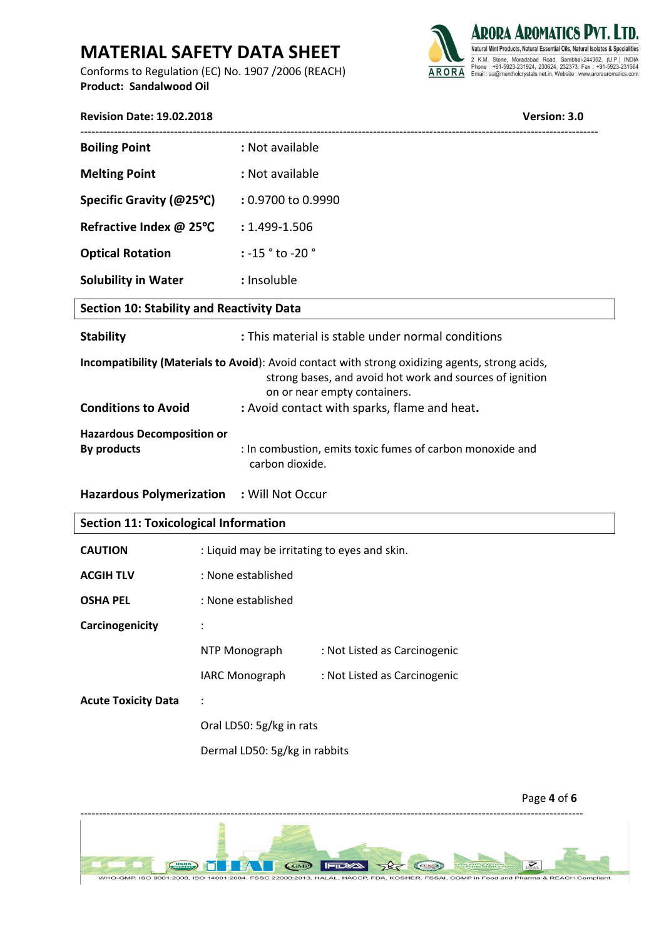Conforms to Regulation (EC) No. 1907 /2006 (REACH) **Product: Sandalwood Oil** 



| Version: 3.0<br><b>Revision Date: 19.02.2018</b> |                                                   |                                                                                                                                                                                                                                             |  |
|--------------------------------------------------|---------------------------------------------------|---------------------------------------------------------------------------------------------------------------------------------------------------------------------------------------------------------------------------------------------|--|
| <b>Boiling Point</b>                             | : Not available                                   |                                                                                                                                                                                                                                             |  |
| <b>Melting Point</b>                             | : Not available                                   |                                                                                                                                                                                                                                             |  |
| Specific Gravity (@25°C)                         |                                                   | : 0.9700 to 0.9990                                                                                                                                                                                                                          |  |
| Refractive Index @ 25°C                          |                                                   | : 1.499-1.506                                                                                                                                                                                                                               |  |
| <b>Optical Rotation</b>                          |                                                   | $: -15$ $^{\circ}$ to $-20$ $^{\circ}$                                                                                                                                                                                                      |  |
| <b>Solubility in Water</b>                       |                                                   | : Insoluble                                                                                                                                                                                                                                 |  |
| <b>Section 10: Stability and Reactivity Data</b> |                                                   |                                                                                                                                                                                                                                             |  |
| <b>Stability</b>                                 | : This material is stable under normal conditions |                                                                                                                                                                                                                                             |  |
| <b>Conditions to Avoid</b>                       |                                                   | Incompatibility (Materials to Avoid): Avoid contact with strong oxidizing agents, strong acids,<br>strong bases, and avoid hot work and sources of ignition<br>on or near empty containers.<br>: Avoid contact with sparks, flame and heat. |  |
| <b>Hazardous Decomposition or</b><br>By products |                                                   | : In combustion, emits toxic fumes of carbon monoxide and<br>carbon dioxide.                                                                                                                                                                |  |
| Hazardous Polymerization : Will Not Occur        |                                                   |                                                                                                                                                                                                                                             |  |
| <b>Section 11: Toxicological Information</b>     |                                                   |                                                                                                                                                                                                                                             |  |
| <b>CAUTION</b>                                   | : Liquid may be irritating to eyes and skin.      |                                                                                                                                                                                                                                             |  |
| <b>ACGIH TLV</b>                                 | : None established                                |                                                                                                                                                                                                                                             |  |
| <b>OSHA PEL</b>                                  | : None established                                |                                                                                                                                                                                                                                             |  |
| Carcinogenicity                                  |                                                   |                                                                                                                                                                                                                                             |  |
|                                                  |                                                   | NTP Monograph<br>: Not Listed as Carcinogenic                                                                                                                                                                                               |  |

| <b>IARC Monograph</b> | : Not Listed as Carcinogenic |  |
|-----------------------|------------------------------|--|
|                       |                              |  |

**Acute Toxicity Data** :

Oral LD50: 5g/kg in rats

Dermal LD50: 5g/kg in rabbits

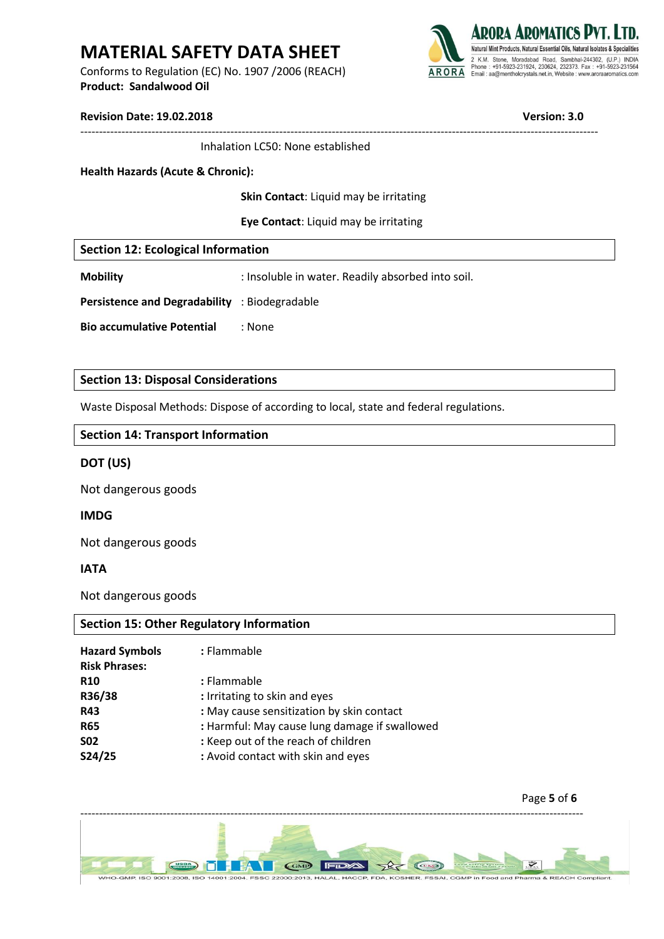Conforms to Regulation (EC) No. 1907 /2006 (REACH) **Product: Sandalwood Oil** 



#### **Revision Date: 19.02.2018 Version: 3.0**

| <b>Revision Date: 19.02.2018</b> |  |
|----------------------------------|--|
|----------------------------------|--|

Inhalation LC50: None established

#### **Health Hazards (Acute & Chronic):**

**Skin Contact**: Liquid may be irritating

------------------------------------------------------------------------------------------------------------------------------------------

**Eye Contact**: Liquid may be irritating

|  |  |  | <b>Section 12: Ecological Information</b> |  |
|--|--|--|-------------------------------------------|--|
|--|--|--|-------------------------------------------|--|

**Mobility** : Insoluble in water. Readily absorbed into soil.

**Persistence and Degradability** : Biodegradable

**Bio accumulative Potential** : None

### **Section 13: Disposal Considerations**

Waste Disposal Methods: Dispose of according to local, state and federal regulations.

### **Section 14: Transport Information**

### **DOT (US)**

Not dangerous goods

### **IMDG**

Not dangerous goods

### **IATA**

Not dangerous goods

### **Section 15: Other Regulatory Information**

| : Flammable                                   |
|-----------------------------------------------|
| : Flammable                                   |
| : Irritating to skin and eyes                 |
| : May cause sensitization by skin contact     |
| : Harmful: May cause lung damage if swallowed |
| : Keep out of the reach of children           |
| : Avoid contact with skin and eyes            |
|                                               |